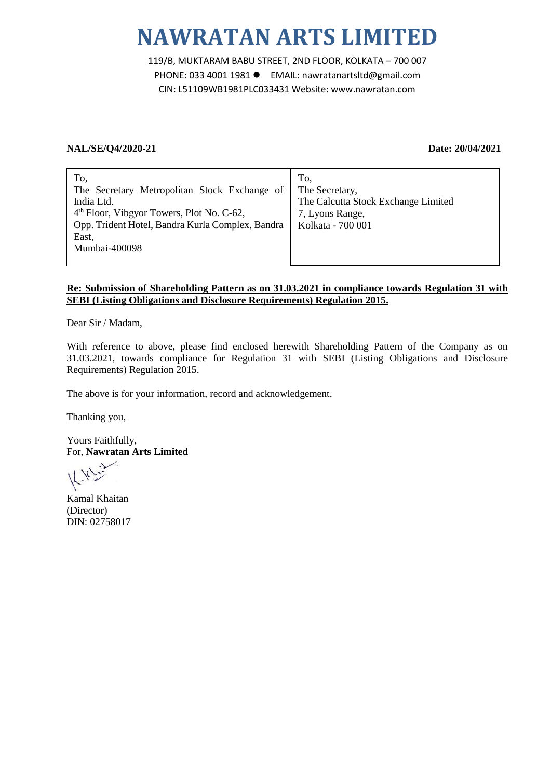# **NAWRATAN ARTS LIMITED**

119/B, MUKTARAM BABU STREET, 2ND FLOOR, KOLKATA – 700 007 PHONE: 033 4001 1981 EMAIL: nawratanartsltd@gmail.com CIN: L51109WB1981PLC033431 Website: www.nawratan.com

## **NAL/SE/Q4/2020-21 Date: 20/04/2021**

# **Re: Submission of Shareholding Pattern as on 31.03.2021 in compliance towards Regulation 31 with SEBI (Listing Obligations and Disclosure Requirements) Regulation 2015.**

Dear Sir / Madam,

With reference to above, please find enclosed herewith Shareholding Pattern of the Company as on 31.03.2021, towards compliance for Regulation 31 with SEBI (Listing Obligations and Disclosure Requirements) Regulation 2015.

The above is for your information, record and acknowledgement.

Thanking you,

Yours Faithfully, For, **Nawratan Arts Limited**

Kamal Khaitan (Director) DIN: 02758017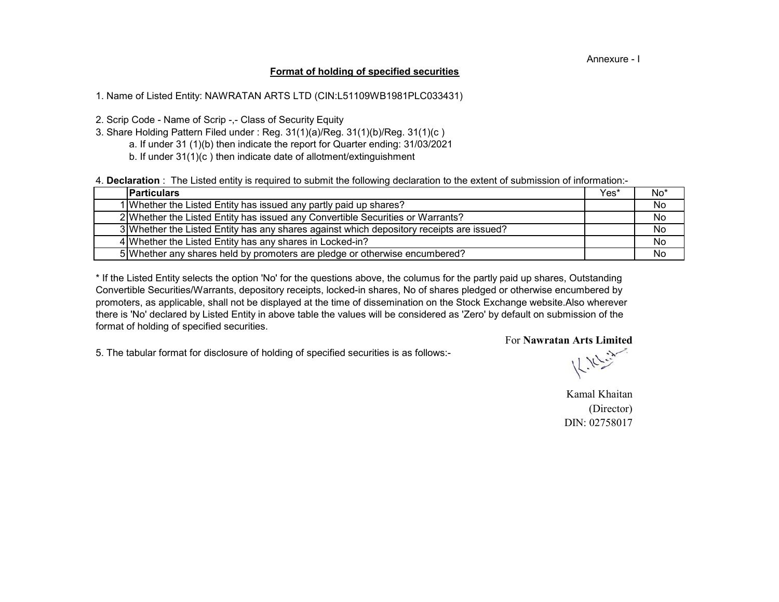#### Annexure - I

### **Format of holding of specified securities**

1. Name of Listed Entity: NAWRATAN ARTS LTD (CIN:L51109WB1981PLC033431)

2. Scrip Code - Name of Scrip -,- Class of Security Equity

- a. If under 31 (1)(b) then indicate the report for Quarter ending: 31/03/2021 3. Share Holding Pattern Filed under : Reg. 31(1)(a)/Reg. 31(1)(b)/Reg. 31(1)(c )
	- b. If under 31(1)(c ) then indicate date of allotment/extinguishment

4. **Declaration** : The Listed entity is required to submit the following declaration to the extent of submission of information:-

| <b>Particulars</b> |                                                                                          | Yes* | $No*$ |
|--------------------|------------------------------------------------------------------------------------------|------|-------|
|                    | 1 Whether the Listed Entity has issued any partly paid up shares?                        |      | No    |
|                    | 2 Whether the Listed Entity has issued any Convertible Securities or Warrants?           |      | No.   |
|                    | 3 Whether the Listed Entity has any shares against which depository receipts are issued? |      | No.   |
|                    | 4 Whether the Listed Entity has any shares in Locked-in?                                 |      | No.   |
|                    | 5 Whether any shares held by promoters are pledge or otherwise encumbered?               |      | No    |

there is 'No' declared by Listed Entity in above table the values will be considered as 'Zero' by default on submission of the format of holding of specified securities. \* If the Listed Entity selects the option 'No' for the questions above, the columus for the partly paid up shares, Outstanding Convertible Securities/Warrants, depository receipts, locked-in shares, No of shares pledged or otherwise encumbered by promoters, as applicable, shall not be displayed at the time of dissemination on the Stock Exchange website.Also wherever

5. The tabular format for disclosure of holding of specified securities is as follows:-

 $k_{\rm F}$ 

For **Nawratan Arts Limited**

Kamal Khaitan (Director) DIN: 02758017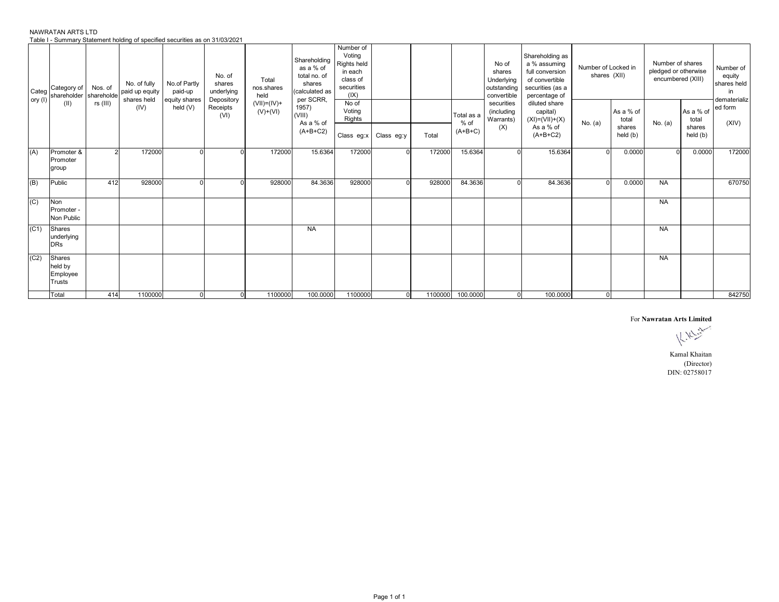| NAWRATAN ARTS LTD                                                            |  |
|------------------------------------------------------------------------------|--|
| Table I - Summary Statement holding of specified securities as on 31/03/2021 |  |

| Categ<br>ory (I) | Category of<br>shareholder                     | Nos. of<br>shareholde | No. of fully<br>paid up equity<br>shares held | No.of Partly<br>paid-up<br>equity shares | No. of<br>shares<br>underlying<br>Depository | Total<br>nos.shares<br>held | Shareholding<br>as a % of<br>total no. of<br>shares<br>(calculated as<br>per SCRR, | Number of<br>Voting<br>Rights held<br>in each<br>class of<br>securities<br>(IX) |                       |         |                                   | No of<br>shares<br>Underlying<br>outstanding<br>convertible | Shareholding as<br>a % assuming<br>full conversion<br>of convertible<br>securities (as a<br>percentage of | Number of Locked in<br>shares (XII) |                                          | Number of shares<br>pledged or otherwise<br>encumbered (XIII) |                                                   | Number of<br>equity<br>shares held<br>in<br>dematerializ |
|------------------|------------------------------------------------|-----------------------|-----------------------------------------------|------------------------------------------|----------------------------------------------|-----------------------------|------------------------------------------------------------------------------------|---------------------------------------------------------------------------------|-----------------------|---------|-----------------------------------|-------------------------------------------------------------|-----------------------------------------------------------------------------------------------------------|-------------------------------------|------------------------------------------|---------------------------------------------------------------|---------------------------------------------------|----------------------------------------------------------|
|                  | (II)                                           | rs (III)              | (IV)                                          | held $(V)$                               | Receipts<br>(VI)                             | $(VII)=(IV)+$<br>$(V)+(VI)$ | 1957)<br>(VIII)<br>As a % of<br>$(A+B+C2)$                                         | No of<br>Voting<br>Rights                                                       | Class eg:x Class eg:y | Total   | Total as a<br>$%$ of<br>$(A+B+C)$ | securities<br>(including<br>Warrants)<br>(X)                | diluted share<br>capital)<br>$(XI)= (VII)+(X)$<br>As a % of<br>$(A+B+C2)$                                 | No. $(a)$                           | As a % of<br>total<br>shares<br>held (b) | No. (a)                                                       | IAs a % of ed form<br>total<br>shares<br>held (b) | (XIV)                                                    |
| (A)              | Promoter &<br>Promoter<br>group                |                       | 172000                                        |                                          |                                              | 172000                      | 15.6364                                                                            | 172000                                                                          |                       | 172000  | 15.6364                           |                                                             | 15.6364                                                                                                   | $\Omega$                            | 0.0000                                   | $\Omega$                                                      | 0.0000                                            | 172000                                                   |
| (B)              | Public                                         | 412                   | 928000                                        |                                          |                                              | 928000                      | 84.3636                                                                            | 928000                                                                          |                       | 928000  | 84.3636                           |                                                             | 84.3636                                                                                                   | <sup>n</sup>                        | 0.0000                                   | <b>NA</b>                                                     |                                                   | 670750                                                   |
| (C)              | Non<br>Promoter -<br>Non Public                |                       |                                               |                                          |                                              |                             |                                                                                    |                                                                                 |                       |         |                                   |                                                             |                                                                                                           |                                     |                                          | <b>NA</b>                                                     |                                                   |                                                          |
| (C1)             | Shares<br>underlying<br><b>DRs</b>             |                       |                                               |                                          |                                              |                             | <b>NA</b>                                                                          |                                                                                 |                       |         |                                   |                                                             |                                                                                                           |                                     |                                          | <b>NA</b>                                                     |                                                   |                                                          |
| (C2)             | Shares<br>held by<br>Employee<br><b>Trusts</b> |                       |                                               |                                          |                                              |                             |                                                                                    |                                                                                 |                       |         |                                   |                                                             |                                                                                                           |                                     |                                          | <b>NA</b>                                                     |                                                   |                                                          |
|                  | Total                                          | 414                   | 1100000                                       | 0                                        | $\mathbf 0$                                  | 1100000                     | 100.0000                                                                           | 1100000                                                                         | $\Omega$              | 1100000 | 100.0000                          | $\Omega$                                                    | 100.0000                                                                                                  | $\overline{0}$                      |                                          |                                                               |                                                   | 842750                                                   |

For **Nawratan Arts Limited**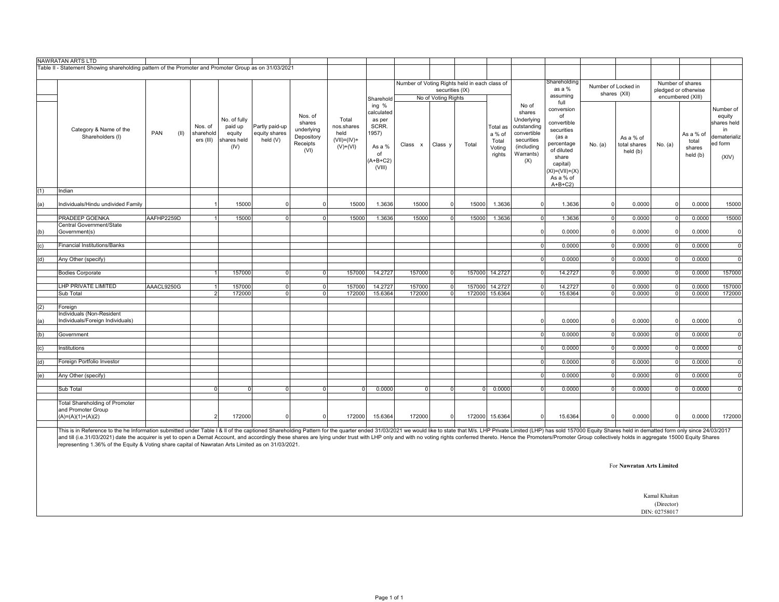|     | NAWRATAN ARTS LTD                                                                                                                                                                                                              |             |                                   |                                                          |                                             |                                                                   |                                                               |                                                                                         |                                               |                     |          |                                                 |                                                                                                             |                                                                                                                                                          |                |                                       |                |                                          |                                                                              |
|-----|--------------------------------------------------------------------------------------------------------------------------------------------------------------------------------------------------------------------------------|-------------|-----------------------------------|----------------------------------------------------------|---------------------------------------------|-------------------------------------------------------------------|---------------------------------------------------------------|-----------------------------------------------------------------------------------------|-----------------------------------------------|---------------------|----------|-------------------------------------------------|-------------------------------------------------------------------------------------------------------------|----------------------------------------------------------------------------------------------------------------------------------------------------------|----------------|---------------------------------------|----------------|------------------------------------------|------------------------------------------------------------------------------|
|     | Table II - Statement Showing shareholding pattern of the Promoter and Promoter Group as on 31/03/2021                                                                                                                          |             |                                   |                                                          |                                             |                                                                   |                                                               |                                                                                         |                                               |                     |          |                                                 |                                                                                                             |                                                                                                                                                          |                |                                       |                |                                          |                                                                              |
|     |                                                                                                                                                                                                                                |             |                                   |                                                          |                                             |                                                                   |                                                               |                                                                                         | Number of Voting Rights held in each class of |                     |          |                                                 |                                                                                                             | Shareholding                                                                                                                                             |                | Number of Locked in                   |                | Number of shares                         |                                                                              |
|     |                                                                                                                                                                                                                                |             |                                   |                                                          |                                             |                                                                   |                                                               |                                                                                         |                                               | securities (IX)     |          |                                                 |                                                                                                             | as a %<br>assuming                                                                                                                                       |                | shares (XII)                          |                | pledged or otherwise                     |                                                                              |
|     |                                                                                                                                                                                                                                |             |                                   |                                                          |                                             |                                                                   |                                                               | Sharehold                                                                               |                                               | No of Voting Rights |          |                                                 |                                                                                                             | full                                                                                                                                                     |                |                                       |                | encumbered (XIII)                        |                                                                              |
|     | Category & Name of the<br>Shareholders (I)                                                                                                                                                                                     | PAN<br>(11) | Nos. of<br>sharehold<br>ers (III) | No. of fully<br>paid up<br>equity<br>shares held<br>(IV) | Partly paid-up<br>equity shares<br>held (V) | Nos. of<br>shares<br>underlying<br>Depository<br>Receipts<br>(VI) | Total<br>nos.shares<br>held<br>$(VII) = (IV) +$<br>$(V)+(VI)$ | ing %<br>calculated<br>as per<br>SCRR.<br>1957)<br>As a %<br>of<br>$(A+B+C2)$<br>(VIII) | Class x                                       | Class y             | Total    | Total as<br>a % of<br>Total<br>Voting<br>rights | No of<br>shares<br>Underlying<br>outstanding<br>convertible<br>securities<br>(including<br>Warrants)<br>(X) | conversion<br>of<br>convertible<br>securities<br>(as a<br>percentage<br>of diluted<br>share<br>capital)<br>$(XI) = (VII) + (X)$<br>As a % of<br>$A+B+C2$ | No. (a)        | As a % of<br>total shares<br>held (b) | No. (a)        | As a % of<br>total<br>shares<br>held (b) | Number of<br>equity<br>shares held<br>in<br>dematerializ<br>ed form<br>(XIV) |
| (1) | Indian                                                                                                                                                                                                                         |             |                                   |                                                          |                                             |                                                                   |                                                               |                                                                                         |                                               |                     |          |                                                 |                                                                                                             |                                                                                                                                                          |                |                                       |                |                                          |                                                                              |
| (a) | Individuals/Hindu undivided Family                                                                                                                                                                                             |             |                                   | 15000                                                    | $\mathbf 0$                                 | $\Omega$                                                          | 15000                                                         | 1.3636                                                                                  | 15000                                         | $\Omega$            | 15000    | 1.3636                                          | $\Omega$                                                                                                    | 1.3636                                                                                                                                                   |                | 0.0000                                | $\Omega$       | 0.0000                                   | 15000                                                                        |
|     | PRADEEP GOENKA                                                                                                                                                                                                                 | AAFHP2259D  | $\mathbf{1}$                      | 15000                                                    | ō                                           | $\overline{0}$                                                    | 15000                                                         | 1.3636                                                                                  | 15000                                         | $\overline{0}$      | 15000    | 1.3636                                          | $\Omega$                                                                                                    | 1.3636                                                                                                                                                   | $\Omega$       | 0.0000                                | $\Omega$       | 0.0000                                   | 15000                                                                        |
| (b) | Central Government/State<br>Government(s)                                                                                                                                                                                      |             |                                   |                                                          |                                             |                                                                   |                                                               |                                                                                         |                                               |                     |          |                                                 | $\Omega$                                                                                                    | 0.0000                                                                                                                                                   | $\Omega$       | 0.0000                                | $\Omega$       | 0.0000                                   | $\mathbf{0}$                                                                 |
| (c) | <b>Financial Institutions/Banks</b>                                                                                                                                                                                            |             |                                   |                                                          |                                             |                                                                   |                                                               |                                                                                         |                                               |                     |          |                                                 | $\overline{0}$                                                                                              | 0.0000                                                                                                                                                   | $\overline{0}$ | 0.0000                                | $\overline{0}$ | 0.0000                                   | $\mathbf 0$                                                                  |
|     |                                                                                                                                                                                                                                |             |                                   |                                                          |                                             |                                                                   |                                                               |                                                                                         |                                               |                     |          |                                                 |                                                                                                             |                                                                                                                                                          |                |                                       |                |                                          |                                                                              |
| (d) | Any Other (specify)                                                                                                                                                                                                            |             |                                   |                                                          |                                             |                                                                   |                                                               |                                                                                         |                                               |                     |          |                                                 | $\Omega$                                                                                                    | 0.0000                                                                                                                                                   | $\Omega$       | 0.0000                                |                | 0.0000                                   | $\Omega$                                                                     |
|     | <b>Bodies Corporate</b>                                                                                                                                                                                                        |             |                                   | 157000                                                   | $\mathbf 0$                                 | $\overline{0}$                                                    | 157000                                                        | 14.2727                                                                                 | 157000                                        | $\overline{0}$      |          | 157000 14.2727                                  | $\Omega$                                                                                                    | 14.2727                                                                                                                                                  | $\overline{0}$ | 0.0000                                | $\Omega$       | 0.0000                                   | 157000                                                                       |
|     | LHP PRIVATE LIMITED                                                                                                                                                                                                            | AAACL9250G  | $\overline{1}$                    | 157000                                                   | $\mathbf 0$                                 | $\overline{0}$                                                    | 157000                                                        | 14.2727                                                                                 | 157000                                        | $\overline{0}$      |          | 157000 14.2727                                  | $\Omega$                                                                                                    | 14.2727                                                                                                                                                  | $\Omega$       | 0.0000                                | $\Omega$       | 0.0000                                   | 157000                                                                       |
|     | Sub Total                                                                                                                                                                                                                      |             | 2                                 | 172000                                                   | $\Omega$                                    | $\Omega$                                                          | 172000                                                        | 15.6364                                                                                 | 172000                                        | $\Omega$            | 172000   | 15.6364                                         | $\Omega$                                                                                                    | 15.6364                                                                                                                                                  | $\Omega$       | 0.0000                                | $\Omega$       | 0.0000                                   | 172000                                                                       |
|     |                                                                                                                                                                                                                                |             |                                   |                                                          |                                             |                                                                   |                                                               |                                                                                         |                                               |                     |          |                                                 |                                                                                                             |                                                                                                                                                          |                |                                       |                |                                          |                                                                              |
| (2) | Foreign<br>Individuals (Non-Resident                                                                                                                                                                                           |             |                                   |                                                          |                                             |                                                                   |                                                               |                                                                                         |                                               |                     |          |                                                 |                                                                                                             |                                                                                                                                                          |                |                                       |                |                                          |                                                                              |
| (a) | Individuals/Foreign Individuals)                                                                                                                                                                                               |             |                                   |                                                          |                                             |                                                                   |                                                               |                                                                                         |                                               |                     |          |                                                 | $\Omega$                                                                                                    | 0.0000                                                                                                                                                   | $\Omega$       | 0.0000                                | $\Omega$       | 0.0000                                   | $\mathbf{0}$                                                                 |
| (b) | Government                                                                                                                                                                                                                     |             |                                   |                                                          |                                             |                                                                   |                                                               |                                                                                         |                                               |                     |          |                                                 | $\Omega$                                                                                                    | 0.0000                                                                                                                                                   | $\overline{0}$ | 0.0000                                |                | 0.0000                                   | $\Omega$                                                                     |
| (c) | Institutions                                                                                                                                                                                                                   |             |                                   |                                                          |                                             |                                                                   |                                                               |                                                                                         |                                               |                     |          |                                                 | $\Omega$                                                                                                    | 0.0000                                                                                                                                                   | $\overline{0}$ | 0.0000                                | $\Omega$       | 0.0000                                   | $\mathbf 0$                                                                  |
| (d) | Foreign Portfolio Investor                                                                                                                                                                                                     |             |                                   |                                                          |                                             |                                                                   |                                                               |                                                                                         |                                               |                     |          |                                                 | $\overline{0}$                                                                                              | 0.0000                                                                                                                                                   | $\overline{0}$ | 0.0000                                | $\Omega$       | 0.0000                                   | $\mathbf 0$                                                                  |
| (e) | Any Other (specify)                                                                                                                                                                                                            |             |                                   |                                                          |                                             |                                                                   |                                                               |                                                                                         |                                               |                     |          |                                                 | $\Omega$                                                                                                    | 0.0000                                                                                                                                                   | $\Omega$       | 0.0000                                |                | 0.0000                                   | $\overline{0}$                                                               |
|     | Sub Total                                                                                                                                                                                                                      |             | $\Omega$                          | $\Omega$                                                 | $\mathbf 0$                                 | $\Omega$                                                          | $\cap$                                                        | 0.0000                                                                                  | $\Omega$                                      | $\Omega$            | $\Omega$ | 0.0000                                          | $\Omega$                                                                                                    | 0.0000                                                                                                                                                   | $\Omega$       | 0.0000                                | $\Omega$       | 0.0000                                   | $\Omega$                                                                     |
|     | <b>Total Shareholding of Promoter</b><br>and Promoter Group<br>$(A)=(A)(1)+(A)(2)$                                                                                                                                             |             | $\overline{2}$                    | 172000                                                   | $\Omega$                                    | $\Omega$                                                          | 172000                                                        | 15.6364                                                                                 | 172000                                        | $\Omega$            |          | 172000 15.6364                                  | $\Omega$                                                                                                    | 15.6364                                                                                                                                                  | $\Omega$       | 0.0000                                |                | 0.0000                                   | 172000                                                                       |
|     | This is in Reference to the he Information submitted under Table I & II of the captioned Shareholding Pattern for the quarter ended 31/03/2021 we would like to state that M/s. LHP Private Limited (LHP) has sold 157000 Equi |             |                                   |                                                          |                                             |                                                                   |                                                               |                                                                                         |                                               |                     |          |                                                 |                                                                                                             |                                                                                                                                                          |                |                                       |                |                                          |                                                                              |

This is in Reference to the he Information submitted under Table I & II of the captioned Shareholding Pattern for the quarter ended 31/03/2021 we would like to state that M/s. LHP Private Limited (LHP) has sold 157000 Equi

For **Nawratan Arts Limited**

Kamal Khaitan (Director)

DIN: 02758017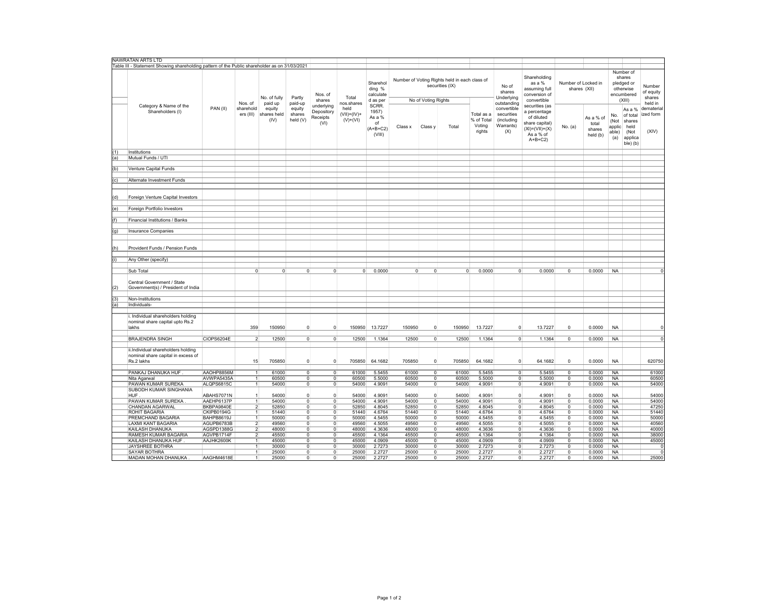|     | NAWRATAN ARTS LTD                                                                             |            |                         |                               |                              |                                              |                                        |                                                        |                |                     |                                                                  |                                              |                                                             |                                                                                                                 |                                     |                                          |                                                                        |                                                                     |                                          |
|-----|-----------------------------------------------------------------------------------------------|------------|-------------------------|-------------------------------|------------------------------|----------------------------------------------|----------------------------------------|--------------------------------------------------------|----------------|---------------------|------------------------------------------------------------------|----------------------------------------------|-------------------------------------------------------------|-----------------------------------------------------------------------------------------------------------------|-------------------------------------|------------------------------------------|------------------------------------------------------------------------|---------------------------------------------------------------------|------------------------------------------|
|     | Table III - Statement Showing shareholding pattern of the Public shareholder as on 31/03/2021 |            |                         |                               |                              |                                              |                                        |                                                        |                |                     |                                                                  |                                              |                                                             |                                                                                                                 |                                     |                                          |                                                                        |                                                                     |                                          |
|     |                                                                                               |            | Nos. of                 | No. of fully<br>paid up       | Partly<br>paid-up            | Nos. of<br>shares                            | Total<br>nos.shares                    | Sharehol<br>ding %<br>calculate<br>d as per            |                | No of Voting Rights | Number of Voting Rights held in each class of<br>securities (IX) |                                              | No of<br>shares<br>Underlying<br>outstanding                | Shareholding<br>as a %<br>assuming full<br>conversion of<br>convertible                                         | Number of Locked in<br>shares (XII) |                                          | Number of<br>shares<br>pledged or<br>otherwise<br>encumbered<br>(XIII) |                                                                     | Number<br>of equity<br>shares<br>held in |
|     | Category & Name of the<br>Shareholders (I)                                                    | PAN (II)   | sharehold<br>ers (III)  | equity<br>shares held<br>(IV) | equity<br>shares<br>held (V) | underlying<br>Depository<br>Receipts<br>(VI) | held<br>$(VII) = (IV) +$<br>$(V)+(VI)$ | SCRR.<br>1957)<br>As a %<br>of<br>$(A+B+C2)$<br>(VIII) | Class x        | Class y             | Total                                                            | Total as a<br>% of Total<br>Voting<br>rights | convertible<br>securities<br>(including<br>Warrants)<br>(X) | securities (as<br>a percentage<br>of diluted<br>share capital)<br>$(XI) = (VII) + (X)$<br>As a % of<br>$A+B+C2$ | No. (a)                             | As a % of<br>total<br>shares<br>held (b) | No.<br>(Not<br>applic<br>able)<br>(a)                                  | As a %<br>of total<br>shares<br>held<br>(Not<br>applica<br>ble) (b) | demateria<br>ized form<br>(XIV)          |
| (1) | Institutions                                                                                  |            |                         |                               |                              |                                              |                                        |                                                        |                |                     |                                                                  |                                              |                                                             |                                                                                                                 |                                     |                                          |                                                                        |                                                                     |                                          |
| (a) | Mutual Funds / UTI                                                                            |            |                         |                               |                              |                                              |                                        |                                                        |                |                     |                                                                  |                                              |                                                             |                                                                                                                 |                                     |                                          |                                                                        |                                                                     |                                          |
|     |                                                                                               |            |                         |                               |                              |                                              |                                        |                                                        |                |                     |                                                                  |                                              |                                                             |                                                                                                                 |                                     |                                          |                                                                        |                                                                     |                                          |
| (b) | Venture Capital Funds                                                                         |            |                         |                               |                              |                                              |                                        |                                                        |                |                     |                                                                  |                                              |                                                             |                                                                                                                 |                                     |                                          |                                                                        |                                                                     |                                          |
|     |                                                                                               |            |                         |                               |                              |                                              |                                        |                                                        |                |                     |                                                                  |                                              |                                                             |                                                                                                                 |                                     |                                          |                                                                        |                                                                     |                                          |
| (c) | Alternate Investment Funds                                                                    |            |                         |                               |                              |                                              |                                        |                                                        |                |                     |                                                                  |                                              |                                                             |                                                                                                                 |                                     |                                          |                                                                        |                                                                     |                                          |
|     |                                                                                               |            |                         |                               |                              |                                              |                                        |                                                        |                |                     |                                                                  |                                              |                                                             |                                                                                                                 |                                     |                                          |                                                                        |                                                                     |                                          |
| (d) | Foreign Venture Capital Investors                                                             |            |                         |                               |                              |                                              |                                        |                                                        |                |                     |                                                                  |                                              |                                                             |                                                                                                                 |                                     |                                          |                                                                        |                                                                     |                                          |
| (e) | Foreign Portfolio Investors                                                                   |            |                         |                               |                              |                                              |                                        |                                                        |                |                     |                                                                  |                                              |                                                             |                                                                                                                 |                                     |                                          |                                                                        |                                                                     |                                          |
|     |                                                                                               |            |                         |                               |                              |                                              |                                        |                                                        |                |                     |                                                                  |                                              |                                                             |                                                                                                                 |                                     |                                          |                                                                        |                                                                     |                                          |
| (f) | Financial Institutions / Banks                                                                |            |                         |                               |                              |                                              |                                        |                                                        |                |                     |                                                                  |                                              |                                                             |                                                                                                                 |                                     |                                          |                                                                        |                                                                     |                                          |
|     |                                                                                               |            |                         |                               |                              |                                              |                                        |                                                        |                |                     |                                                                  |                                              |                                                             |                                                                                                                 |                                     |                                          |                                                                        |                                                                     |                                          |
|     | <b>Insurance Companies</b>                                                                    |            |                         |                               |                              |                                              |                                        |                                                        |                |                     |                                                                  |                                              |                                                             |                                                                                                                 |                                     |                                          |                                                                        |                                                                     |                                          |
| (g) |                                                                                               |            |                         |                               |                              |                                              |                                        |                                                        |                |                     |                                                                  |                                              |                                                             |                                                                                                                 |                                     |                                          |                                                                        |                                                                     |                                          |
| (h) | Provident Funds / Pension Funds                                                               |            |                         |                               |                              |                                              |                                        |                                                        |                |                     |                                                                  |                                              |                                                             |                                                                                                                 |                                     |                                          |                                                                        |                                                                     |                                          |
|     |                                                                                               |            |                         |                               |                              |                                              |                                        |                                                        |                |                     |                                                                  |                                              |                                                             |                                                                                                                 |                                     |                                          |                                                                        |                                                                     |                                          |
| (i) | Any Other (specify)                                                                           |            |                         |                               |                              |                                              |                                        |                                                        |                |                     |                                                                  |                                              |                                                             |                                                                                                                 |                                     |                                          |                                                                        |                                                                     |                                          |
|     |                                                                                               |            |                         |                               |                              |                                              |                                        |                                                        |                |                     |                                                                  |                                              |                                                             |                                                                                                                 |                                     |                                          |                                                                        |                                                                     |                                          |
|     | Sub Total                                                                                     |            | $\Omega$                | $\overline{0}$                | $\circ$                      | $\circ$                                      | 0                                      | 0.0000                                                 | $\overline{0}$ | $\Omega$            | $\overline{0}$                                                   | 0.0000                                       | $\overline{0}$                                              | 0.0000                                                                                                          | $\mathsf 0$                         | 0.0000                                   | <b>NA</b>                                                              |                                                                     |                                          |
|     |                                                                                               |            |                         |                               |                              |                                              |                                        |                                                        |                |                     |                                                                  |                                              |                                                             |                                                                                                                 |                                     |                                          |                                                                        |                                                                     |                                          |
|     | Central Government / State                                                                    |            |                         |                               |                              |                                              |                                        |                                                        |                |                     |                                                                  |                                              |                                                             |                                                                                                                 |                                     |                                          |                                                                        |                                                                     |                                          |
| (2) | Government(s) / President of India                                                            |            |                         |                               |                              |                                              |                                        |                                                        |                |                     |                                                                  |                                              |                                                             |                                                                                                                 |                                     |                                          |                                                                        |                                                                     |                                          |
|     |                                                                                               |            |                         |                               |                              |                                              |                                        |                                                        |                |                     |                                                                  |                                              |                                                             |                                                                                                                 |                                     |                                          |                                                                        |                                                                     |                                          |
| (3) | Non-Institutions                                                                              |            |                         |                               |                              |                                              |                                        |                                                        |                |                     |                                                                  |                                              |                                                             |                                                                                                                 |                                     |                                          |                                                                        |                                                                     |                                          |
| (a) | Individuals-                                                                                  |            |                         |                               |                              |                                              |                                        |                                                        |                |                     |                                                                  |                                              |                                                             |                                                                                                                 |                                     |                                          |                                                                        |                                                                     |                                          |
|     |                                                                                               |            |                         |                               |                              |                                              |                                        |                                                        |                |                     |                                                                  |                                              |                                                             |                                                                                                                 |                                     |                                          |                                                                        |                                                                     |                                          |
|     | Individual shareholders holding<br>nominal share capital upto Rs.2<br>lakhs                   |            | 359                     | 150950                        | $\overline{0}$               | $\circ$                                      | 150950                                 | 13.7227                                                | 150950         | $\Omega$            | 150950                                                           | 13.7227                                      | $\mathbf 0$                                                 | 13.7227                                                                                                         | 0                                   | 0.0000                                   | <b>NA</b>                                                              |                                                                     |                                          |
|     |                                                                                               |            |                         |                               |                              |                                              |                                        |                                                        |                |                     |                                                                  |                                              |                                                             |                                                                                                                 |                                     |                                          |                                                                        |                                                                     |                                          |
|     | <b>BRAJENDRA SINGH</b>                                                                        | CIOPS6204E | $\mathfrak{p}$          | 12500                         | $\circ$                      | $\circ$                                      | 12500                                  | 1.1364                                                 | 12500          | 0                   | 12500                                                            | 1.1364                                       | $\circ$                                                     | 1.1364                                                                                                          | 0                                   | 0.0000                                   | <b>NA</b>                                                              |                                                                     | 0                                        |
|     | ii.Individual shareholders holding<br>nominal share capital in excess of<br>Rs.2 lakhs        |            | 15                      | 705850                        | $\circ$                      | $\circ$                                      | 705850                                 | 64.1682                                                | 705850         | $\Omega$            | 705850                                                           | 64.1682                                      | $\overline{0}$                                              | 64.1682                                                                                                         | $\mathsf 0$                         | 0.0000                                   | NA                                                                     |                                                                     | 620750                                   |
|     |                                                                                               |            |                         |                               |                              |                                              |                                        |                                                        |                |                     |                                                                  |                                              |                                                             |                                                                                                                 |                                     |                                          |                                                                        |                                                                     |                                          |
|     | PANKAJ DHANUKA HUF                                                                            | AAOHP8856M | 1                       | 61000                         | $\circ$                      | $\overline{0}$                               | 61000                                  | 5.5455                                                 | 61000          | $\overline{0}$      | 61000                                                            | 5.5455                                       | $\circ$                                                     | 5.5455                                                                                                          | 0                                   | 0.0000                                   | <b>NA</b>                                                              |                                                                     | 61000                                    |
|     | Nita Agarwal                                                                                  | AVWPA5435A | $\mathbf{1}$            | 60500                         | $\overline{0}$               | $\overline{0}$                               | 60500                                  | 5.5000                                                 | 60500          | $\Omega$            | 60500                                                            | 5.5000                                       | $\overline{0}$                                              | 5.5000                                                                                                          | 0                                   | 0.0000                                   | <b>NA</b>                                                              |                                                                     | 60500                                    |
|     | PAWAN KUMAR SUREKA                                                                            | ALQPS6815C | $\overline{1}$          | 54000                         | $\overline{0}$               | $\overline{0}$                               | 54000                                  | 4.9091                                                 | 54000          | $\mathbf{0}$        | 54000                                                            | 4.9091                                       | $\overline{0}$                                              | 4.9091                                                                                                          | $\mathsf 0$                         | 0.0000                                   | <b>NA</b>                                                              |                                                                     | 54000                                    |
|     | SUBODH KUMAR SINGHANIA                                                                        |            |                         |                               |                              |                                              |                                        |                                                        |                |                     |                                                                  |                                              |                                                             |                                                                                                                 |                                     |                                          |                                                                        |                                                                     |                                          |
|     | <b>HUF</b>                                                                                    | ABAHS7071N | 1                       | 54000                         | $\overline{0}$               | $\circ$                                      | 54000                                  | 4.9091                                                 | 54000          | $\mathbf 0$         | 54000                                                            | 4.9091                                       | $\mathbf 0$                                                 | 4.9091                                                                                                          | $\mathsf 0$                         | 0.0000                                   | <b>NA</b>                                                              |                                                                     | 54000                                    |
|     | PAWAN KUMAR SUREKA                                                                            | AAEHP6137P |                         | 54000                         | $\circ$                      | $\circ$                                      | 54000                                  | 4.9091                                                 | 54000          | $\Omega$            | 54000                                                            | 4.9091                                       | $\overline{0}$                                              | 4.9091                                                                                                          | $\mathbf 0$                         | 0.0000                                   | <b>NA</b>                                                              |                                                                     | 54000                                    |
|     | CHANDAN AGARWAL                                                                               | BKBPA9840E | $\overline{\mathbf{2}}$ | 52850                         | $\circ$                      | $\overline{0}$                               | 52850                                  | 4.8045                                                 | 52850          | $\mathbf 0$         | 52850                                                            | 4.8045                                       | $\circ$                                                     | 4.8045                                                                                                          | 0                                   | 0.0000                                   | <b>NA</b>                                                              |                                                                     | 47250                                    |
|     | ROHIT BAGARIA                                                                                 | CKIPB0194G | $\mathbf{1}$            | 51440                         | $\overline{0}$               | $\overline{0}$                               | 51440                                  | 4.6764                                                 | 51440          | $\Omega$            | 51440                                                            | 4.6764                                       | $\overline{0}$                                              | 4.6764                                                                                                          | $\mathbf 0$                         | 0.0000                                   | <b>NA</b>                                                              |                                                                     | 51440                                    |
|     | PREMCHAND BAGARIA                                                                             | BAHPB8619J | 1                       | 50000                         | $\overline{0}$               | $\overline{0}$                               | 50000                                  | 4.5455                                                 | 50000          | $\overline{0}$      | 50000                                                            | 4.5455                                       | $\overline{0}$                                              | 4.5455                                                                                                          | 0                                   | 0.0000                                   | <b>NA</b>                                                              |                                                                     | 50000                                    |
|     | LAXMI KANT BAGARIA                                                                            | AGUPB6783B | $\overline{2}$          | 49560                         | $\overline{0}$               | $\overline{0}$                               | 49560                                  | 4.5055                                                 | 49560          | $\mathbf 0$         | 49560                                                            | 4.5055                                       | $\overline{0}$                                              | 4.5055                                                                                                          | 0                                   | 0.0000                                   | <b>NA</b>                                                              |                                                                     | 40560                                    |
|     | KAILASH DHANUKA                                                                               | AGSPD1388G | $\overline{2}$          | 48000                         | $\circ$                      | $\circ$                                      | 48000                                  | 4.3636                                                 | 48000          | $\overline{0}$      | 48000                                                            | 4.3636                                       | $\overline{0}$                                              | 4.3636                                                                                                          | $^{\circ}$                          | 0.0000                                   | <b>NA</b>                                                              |                                                                     | 40000                                    |
|     | RAMESH KUMAR BAGARIA                                                                          | AGVPB1714F | $\overline{2}$          | 45500                         | $\overline{0}$               | $\overline{0}$                               | 45500                                  | 4.1364                                                 | 45500          | $\overline{0}$      | 45500                                                            | 4.1364                                       | $\overline{0}$                                              | 4.1364                                                                                                          | 0                                   | 0.0000                                   | <b>NA</b>                                                              |                                                                     | 38000                                    |
|     | KAILASH DHANUKA HUF                                                                           | AAJHK2600K | 1                       | 45000                         | $\overline{0}$               | $\overline{\mathbf{0}}$                      | 45000                                  | 4.0909                                                 | 45000          | $\overline{0}$      | 45000                                                            | 4.0909                                       | $\overline{0}$                                              | 4.0909                                                                                                          | $\overline{0}$                      | 0.0000                                   | <b>NA</b>                                                              |                                                                     | 45000                                    |
|     | JAYSHREE BOTHRA                                                                               |            | $\mathbf{1}$            | 30000                         | $\overline{0}$               | $\overline{0}$                               | 30000                                  | 2.7273                                                 | 30000          | $\mathbf{0}$        | 30000                                                            | 2.7273                                       | $\overline{0}$                                              | 2.7273                                                                                                          | $\mathsf 0$                         | 0.0000                                   | <b>NA</b>                                                              |                                                                     | $\Omega$                                 |
|     | SAYAR BOTHRA                                                                                  |            | 1                       | 25000                         | $\circ$                      | $\circ$                                      | 25000                                  | 2.2727                                                 | 25000          | $\overline{0}$      | 25000                                                            | 2.2727                                       | $\overline{0}$                                              | 2.2727                                                                                                          | 0                                   | 0.0000                                   | <b>NA</b>                                                              |                                                                     | $\Omega$                                 |
|     | MADAN MOHAN DHANUKA.                                                                          | AAGHM4618E | 1                       | 25000                         | 0                            | $\overline{0}$                               | 25000                                  | 2.2727                                                 | 25000          | $\mathbf 0$         | 25000                                                            | 2.2727                                       | $\overline{0}$                                              | 2.2727                                                                                                          | $\mathbf 0$                         | 0.0000                                   | <b>NA</b>                                                              |                                                                     | 25000                                    |
|     |                                                                                               |            |                         |                               |                              |                                              |                                        |                                                        |                |                     |                                                                  |                                              |                                                             |                                                                                                                 |                                     |                                          |                                                                        |                                                                     |                                          |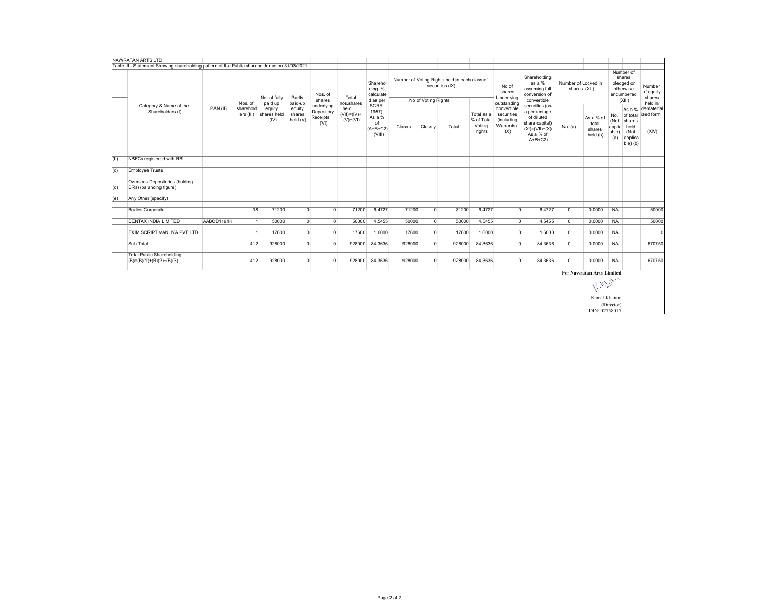|     | NAWRATAN ARTS LTD                                                                             |            |                        |                               |                              |                                              |                                     |                                                        |         |                     |                                                                  |                                              |                                                             |                                                                                                                 |                                     |                                          |                                       |                                                                        |                                          |
|-----|-----------------------------------------------------------------------------------------------|------------|------------------------|-------------------------------|------------------------------|----------------------------------------------|-------------------------------------|--------------------------------------------------------|---------|---------------------|------------------------------------------------------------------|----------------------------------------------|-------------------------------------------------------------|-----------------------------------------------------------------------------------------------------------------|-------------------------------------|------------------------------------------|---------------------------------------|------------------------------------------------------------------------|------------------------------------------|
|     | Table III - Statement Showing shareholding pattern of the Public shareholder as on 31/03/2021 |            |                        |                               |                              |                                              |                                     |                                                        |         |                     |                                                                  |                                              |                                                             |                                                                                                                 |                                     |                                          |                                       |                                                                        |                                          |
|     |                                                                                               |            | Nos. of                | No. of fully<br>paid up       | Partly<br>paid-up            | Nos. of<br>shares                            | Total<br>nos.shares                 | Sharehol<br>ding %<br>calculate<br>d as per            |         | No of Voting Rights | Number of Voting Rights held in each class of<br>securities (IX) |                                              | No of<br>shares<br>Underlying<br>outstanding                | Shareholding<br>as a %<br>assuming full<br>conversion of<br>convertible                                         | Number of Locked in<br>shares (XII) |                                          |                                       | Number of<br>shares<br>pledged or<br>otherwise<br>encumbered<br>(XIII) | Number<br>of equity<br>shares<br>held in |
|     | Category & Name of the<br>Shareholders (I)                                                    | PAN(II)    | sharehold<br>ers (III) | equity<br>shares held<br>(IV) | equity<br>shares<br>held (V) | underlying<br>Depository<br>Receipts<br>(VI) | held<br>$(VII)=(IV)+$<br>$(V)+(VI)$ | SCRR.<br>1957)<br>As a %<br>of<br>$(A+B+C2)$<br>(VIII) | Class x | Class y             | Total                                                            | Total as a<br>% of Total<br>Voting<br>rights | convertible<br>securities<br>(including<br>Warrants)<br>(X) | securities (as<br>a percentage<br>of diluted<br>share capital)<br>$(XI) = (VII) + (X)$<br>As a % of<br>$A+B+C2$ | No. (a)                             | As a % of<br>total<br>shares<br>held (b) | No.<br>(Not<br>applic<br>able)<br>(a) | As a %<br>of total<br>shares<br>held<br>(Not<br>applica<br>ble) (b)    | dematerial<br>ized form<br>(XIV)         |
|     |                                                                                               |            |                        |                               |                              |                                              |                                     |                                                        |         |                     |                                                                  |                                              |                                                             |                                                                                                                 |                                     |                                          |                                       |                                                                        |                                          |
| (b) | NBFCs registered with RBI                                                                     |            |                        |                               |                              |                                              |                                     |                                                        |         |                     |                                                                  |                                              |                                                             |                                                                                                                 |                                     |                                          |                                       |                                                                        |                                          |
| (c) | <b>Employee Trusts</b>                                                                        |            |                        |                               |                              |                                              |                                     |                                                        |         |                     |                                                                  |                                              |                                                             |                                                                                                                 |                                     |                                          |                                       |                                                                        |                                          |
|     |                                                                                               |            |                        |                               |                              |                                              |                                     |                                                        |         |                     |                                                                  |                                              |                                                             |                                                                                                                 |                                     |                                          |                                       |                                                                        |                                          |
| (d) | Overseas Depositories (holding<br>DRs) (balancing figure)                                     |            |                        |                               |                              |                                              |                                     |                                                        |         |                     |                                                                  |                                              |                                                             |                                                                                                                 |                                     |                                          |                                       |                                                                        |                                          |
|     |                                                                                               |            |                        |                               |                              |                                              |                                     |                                                        |         |                     |                                                                  |                                              |                                                             |                                                                                                                 |                                     |                                          |                                       |                                                                        |                                          |
| (e) | Any Other (specify)                                                                           |            |                        |                               |                              |                                              |                                     |                                                        |         |                     |                                                                  |                                              |                                                             |                                                                                                                 |                                     |                                          |                                       |                                                                        |                                          |
|     | <b>Bodies Corporate</b>                                                                       |            | 38                     | 71200                         | $\overline{0}$               | $\overline{0}$                               | 71200                               | 6.4727                                                 | 71200   | $\Omega$            | 71200                                                            | 6.4727                                       | $\overline{0}$                                              | 6.4727                                                                                                          | $\overline{0}$                      | 0.0000                                   | <b>NA</b>                             |                                                                        | 50000                                    |
|     |                                                                                               |            |                        |                               |                              |                                              |                                     |                                                        |         |                     |                                                                  |                                              |                                                             |                                                                                                                 |                                     |                                          |                                       |                                                                        |                                          |
|     | <b>DENTAX INDIA LIMITED</b>                                                                   | AABCD1191K |                        | 50000                         | $\overline{0}$               | $\overline{0}$                               | 50000                               | 4.5455                                                 | 50000   | $\Omega$            | 50000                                                            | 4.5455                                       | $\Omega$                                                    | 4.5455                                                                                                          | $^{\circ}$                          | 0.0000                                   | <b>NA</b>                             |                                                                        | 50000                                    |
|     | EXIM SCRIPT VANIJYA PVT LTD                                                                   |            |                        | 17600                         | $\overline{0}$               | $\overline{0}$                               | 17600                               | 1.6000                                                 | 17600   | $\Omega$            | 17600                                                            | 1.6000                                       | $\Omega$                                                    | 1.6000                                                                                                          | $\mathbf 0$                         | 0.0000                                   | <b>NA</b>                             |                                                                        | $\epsilon$                               |
|     | Sub Total                                                                                     |            | 412                    | 928000                        | $\overline{0}$               | $\overline{0}$                               | 928000                              | 84.3636                                                | 928000  | $\Omega$            | 928000                                                           | 84.3636                                      | $\Omega$                                                    | 84.3636                                                                                                         | $\overline{0}$                      | 0.0000                                   | <b>NA</b>                             |                                                                        | 670750                                   |
|     |                                                                                               |            |                        |                               |                              |                                              |                                     |                                                        |         |                     |                                                                  |                                              |                                                             |                                                                                                                 |                                     |                                          |                                       |                                                                        |                                          |
|     | <b>Total Public Shareholding</b><br>$(B)=(B)(1)+(B)(2)+(B)(3)$                                |            | 412                    | 928000                        | $\overline{0}$               | $\mathbf 0$                                  | 928000                              | 84.3636                                                | 928000  | $\overline{0}$      | 928000                                                           | 84.3636                                      | $\Omega$                                                    | 84.3636                                                                                                         | $\mathbf 0$                         | 0.0000                                   | <b>NA</b>                             |                                                                        | 670750                                   |
|     |                                                                                               |            |                        |                               |                              |                                              |                                     |                                                        |         |                     |                                                                  |                                              |                                                             |                                                                                                                 |                                     |                                          |                                       |                                                                        |                                          |
|     |                                                                                               |            |                        |                               |                              |                                              |                                     |                                                        |         |                     |                                                                  |                                              |                                                             |                                                                                                                 |                                     | For Nawratan Arts Limited                |                                       |                                                                        |                                          |
|     |                                                                                               |            |                        |                               |                              |                                              |                                     |                                                        |         |                     |                                                                  |                                              |                                                             |                                                                                                                 |                                     | Killis                                   |                                       |                                                                        |                                          |
|     |                                                                                               |            |                        |                               |                              |                                              |                                     |                                                        |         |                     |                                                                  |                                              |                                                             |                                                                                                                 |                                     | Kamal Khaitan                            |                                       |                                                                        |                                          |
|     |                                                                                               |            |                        |                               |                              |                                              |                                     |                                                        |         |                     |                                                                  |                                              |                                                             |                                                                                                                 |                                     |                                          | (Director)                            |                                                                        |                                          |
|     |                                                                                               |            |                        |                               |                              |                                              |                                     |                                                        |         |                     |                                                                  |                                              |                                                             |                                                                                                                 |                                     | DIN: 02758017                            |                                       |                                                                        |                                          |
|     |                                                                                               |            |                        |                               |                              |                                              |                                     |                                                        |         |                     |                                                                  |                                              |                                                             |                                                                                                                 |                                     |                                          |                                       |                                                                        |                                          |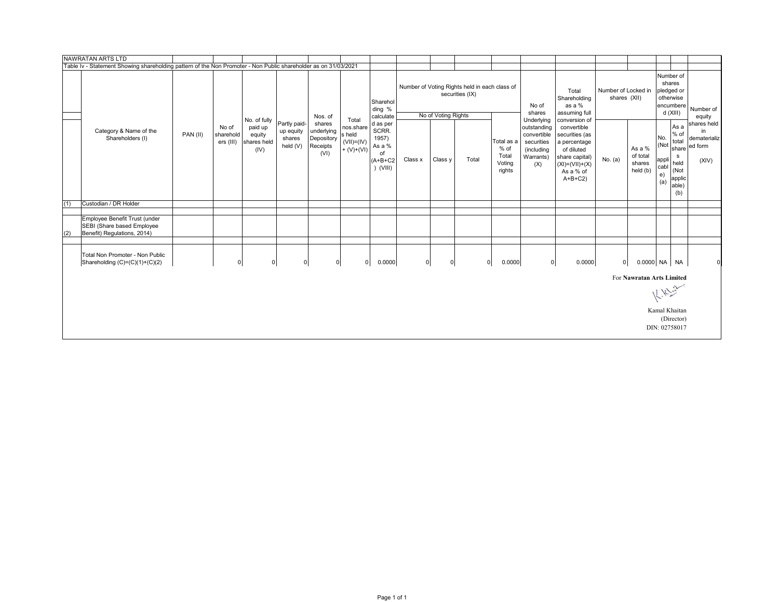|     | NAWRATAN ARTS LTD                                                                                               |          |                                 |                                                          |                                                 |                                                        |                                                               |                                                                       |         |                      |                                                                  |                                                 |                                                                                          |                                                                                                                                                 |                                     |                                          |                                           |                                                                                 |                                                       |
|-----|-----------------------------------------------------------------------------------------------------------------|----------|---------------------------------|----------------------------------------------------------|-------------------------------------------------|--------------------------------------------------------|---------------------------------------------------------------|-----------------------------------------------------------------------|---------|----------------------|------------------------------------------------------------------|-------------------------------------------------|------------------------------------------------------------------------------------------|-------------------------------------------------------------------------------------------------------------------------------------------------|-------------------------------------|------------------------------------------|-------------------------------------------|---------------------------------------------------------------------------------|-------------------------------------------------------|
|     | Table Iv - Statement Showing shareholding pattern of the Non Promoter - Non Public shareholder as on 31/03/2021 |          |                                 |                                                          |                                                 |                                                        |                                                               |                                                                       |         |                      |                                                                  |                                                 |                                                                                          |                                                                                                                                                 |                                     |                                          |                                           |                                                                                 |                                                       |
|     |                                                                                                                 |          |                                 |                                                          |                                                 | Nos. of                                                |                                                               | Sharehol<br>ding %<br>calculate                                       |         | No of Voting Rights  | Number of Voting Rights held in each class of<br>securities (IX) |                                                 | No of<br>shares                                                                          | Total<br>Shareholding<br>as a %<br>assuming full                                                                                                | Number of Locked in<br>shares (XII) |                                          | Number of<br>pledged or<br>otherwise      | shares<br>encumbere<br>d (XIII)                                                 | Number of<br>equity                                   |
|     | Category & Name of the<br>Shareholders (I)                                                                      | PAN (II) | No of<br>sharehold<br>ers (III) | No. of fully<br>paid up<br>equity<br>shares held<br>(IV) | Partly paid-<br>up equity<br>shares<br>held (V) | shares<br>underlying<br>Depository<br>Receipts<br>(VI) | Total<br>nos.share<br>s held<br>$(VII)= (IV)$<br>$+ (V)+(VI)$ | d as per<br>SCRR.<br>1957)<br>As a %<br>of<br>$(A+B+C2$<br>$)$ (VIII) | Class x | Class y              | Total                                                            | Total as a<br>% of<br>Total<br>Voting<br>rights | Underlying<br>outstanding<br>convertible<br>securities<br>(including<br>Warrants)<br>(X) | conversion of<br>convertible<br>securities (as<br>a percentage<br>of diluted<br>share capital)<br>$(XI) = (VII) + (X)$<br>As a % of<br>$A+B+C2$ | No. (a)                             | As a %<br>of total<br>shares<br>held (b) | No.<br>(Not<br>appli<br>cabl<br>e)<br>(a) | As a<br>$%$ of<br>total<br>share<br>s<br>held<br>(Not<br>applic<br>able)<br>(b) | shares held<br>in<br>dematerializ<br>ed form<br>(XIV) |
| (1) | Custodian / DR Holder                                                                                           |          |                                 |                                                          |                                                 |                                                        |                                                               |                                                                       |         |                      |                                                                  |                                                 |                                                                                          |                                                                                                                                                 |                                     |                                          |                                           |                                                                                 |                                                       |
|     |                                                                                                                 |          |                                 |                                                          |                                                 |                                                        |                                                               |                                                                       |         |                      |                                                                  |                                                 |                                                                                          |                                                                                                                                                 |                                     |                                          |                                           |                                                                                 |                                                       |
| (2) | Employee Benefit Trust (under<br>SEBI (Share based Employee<br>Benefit) Regulations, 2014)                      |          |                                 |                                                          |                                                 |                                                        |                                                               |                                                                       |         |                      |                                                                  |                                                 |                                                                                          |                                                                                                                                                 |                                     |                                          |                                           |                                                                                 |                                                       |
|     | Total Non Promoter - Non Public<br>Shareholding (C)=(C)(1)+(C)(2)                                               |          | $\mathbf 0$                     |                                                          | $\mathbf 0$<br>$\overline{0}$                   |                                                        | $\overline{0}$<br>$\mathbf 0$                                 | 0.0000                                                                |         | 0 <br>$\overline{0}$ |                                                                  | 0.0000<br>$\overline{0}$                        | $\circ$                                                                                  | 0.0000                                                                                                                                          | $\mathbf 0$                         | 0.0000 NA NA                             |                                           |                                                                                 | $\Omega$                                              |
|     |                                                                                                                 |          |                                 |                                                          |                                                 |                                                        |                                                               |                                                                       |         |                      |                                                                  |                                                 |                                                                                          |                                                                                                                                                 |                                     | For Nawratan Arts Limited                |                                           |                                                                                 |                                                       |
|     |                                                                                                                 |          |                                 |                                                          |                                                 |                                                        |                                                               |                                                                       |         |                      |                                                                  |                                                 |                                                                                          |                                                                                                                                                 |                                     |                                          |                                           | $k_{12}^{1/2}$                                                                  |                                                       |
|     |                                                                                                                 |          |                                 |                                                          |                                                 |                                                        |                                                               |                                                                       |         |                      |                                                                  |                                                 |                                                                                          |                                                                                                                                                 |                                     |                                          | Kamal Khaitan<br>DIN: 02758017            | (Director)                                                                      |                                                       |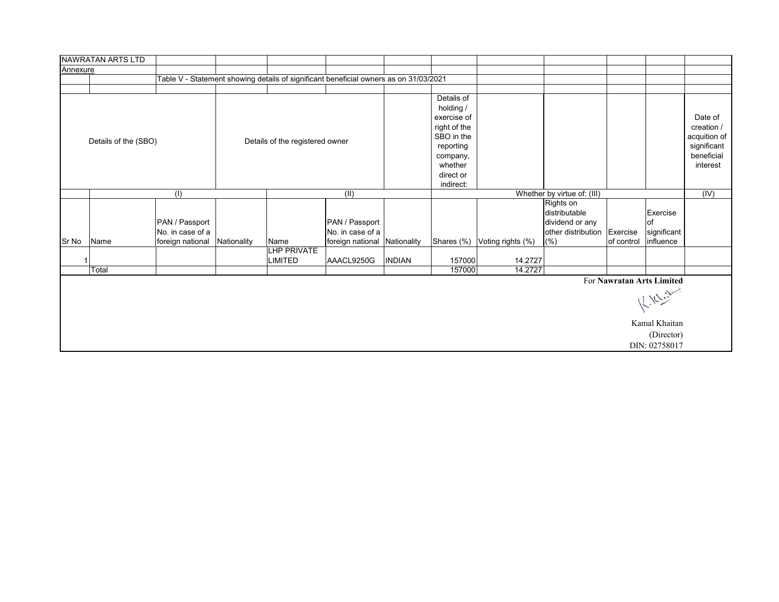|          | NAWRATAN ARTS LTD    |                                    |             |                                      |                                                                                       |               |                                                                                                                                    |                   |                                                                     |            |                                                                                       |                                                                                |
|----------|----------------------|------------------------------------|-------------|--------------------------------------|---------------------------------------------------------------------------------------|---------------|------------------------------------------------------------------------------------------------------------------------------------|-------------------|---------------------------------------------------------------------|------------|---------------------------------------------------------------------------------------|--------------------------------------------------------------------------------|
| Annexure |                      |                                    |             |                                      |                                                                                       |               |                                                                                                                                    |                   |                                                                     |            |                                                                                       |                                                                                |
|          |                      |                                    |             |                                      | Table V - Statement showing details of significant beneficial owners as on 31/03/2021 |               |                                                                                                                                    |                   |                                                                     |            |                                                                                       |                                                                                |
|          |                      |                                    |             |                                      |                                                                                       |               |                                                                                                                                    |                   |                                                                     |            |                                                                                       |                                                                                |
|          | Details of the (SBO) |                                    |             | Details of the registered owner      |                                                                                       |               | Details of<br>holding /<br>exercise of<br>right of the<br>SBO in the<br>reporting<br>company,<br>whether<br>direct or<br>indirect: |                   |                                                                     |            |                                                                                       | Date of<br>creation /<br>acquition of<br>significant<br>beneficial<br>interest |
|          |                      | (1)                                |             |                                      | (II)                                                                                  |               |                                                                                                                                    |                   | Whether by virtue of: (III)                                         |            |                                                                                       | (IV)                                                                           |
|          |                      | PAN / Passport<br>No. in case of a |             |                                      | PAN / Passport<br>No. in case of a                                                    |               |                                                                                                                                    |                   | Rights on<br>distributable<br>dividend or any<br>other distribution | Exercise   | Exercise<br>lof<br>significant                                                        |                                                                                |
| Sr No    | Name                 | foreign national                   | Nationality | Name                                 | foreign national Nationality                                                          |               | Shares (%)                                                                                                                         | Voting rights (%) | (%)                                                                 | of control | influence                                                                             |                                                                                |
| -1       |                      |                                    |             | <b>LHP PRIVATE</b><br><b>LIMITED</b> | AAACL9250G                                                                            | <b>INDIAN</b> | 157000                                                                                                                             | 14.2727           |                                                                     |            |                                                                                       |                                                                                |
|          | Total                |                                    |             |                                      |                                                                                       |               | 157000                                                                                                                             | 14.2727           |                                                                     |            |                                                                                       |                                                                                |
|          |                      |                                    |             |                                      |                                                                                       |               |                                                                                                                                    |                   |                                                                     |            | For Nawratan Arts Limited<br>K. K. Ch<br>Kamal Khaitan<br>(Director)<br>DIN: 02758017 |                                                                                |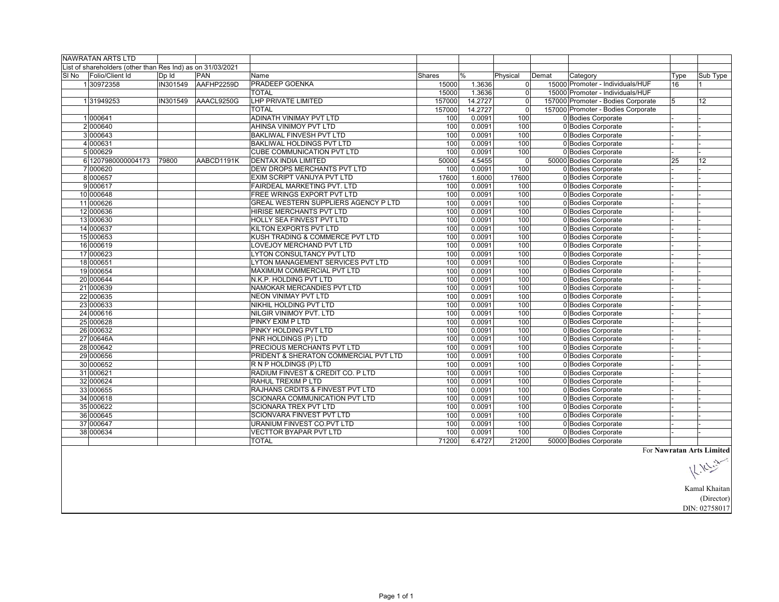|       | <b>NAWRATAN ARTS LTD</b>                                     |          |            |                                       |        |               |                |       |                                    |      |                           |
|-------|--------------------------------------------------------------|----------|------------|---------------------------------------|--------|---------------|----------------|-------|------------------------------------|------|---------------------------|
|       | List of shareholders (other than Res Ind) as on $31/03/2021$ |          |            |                                       |        |               |                |       |                                    |      |                           |
| SI No | Folio/Client Id                                              | Dp Id    | <b>PAN</b> | Name                                  | Shares | $\frac{0}{0}$ | Physical       | Demat | Category                           | Type | Sub Type                  |
|       | 130972358                                                    | IN301549 | AAFHP2259D | PRADEEP GOENKA                        | 15000  | 1.3636        | $\overline{0}$ |       | 15000 Promoter - Individuals/HUF   | 16   |                           |
|       |                                                              |          |            | <b>TOTAL</b>                          | 15000  | 1.3636        | $\overline{0}$ |       | 15000 Promoter - Individuals/HUF   |      |                           |
|       | 131949253                                                    | IN301549 | AAACL9250G | <b>LHP PRIVATE LIMITED</b>            | 157000 | 14.2727       | $\overline{0}$ |       | 157000 Promoter - Bodies Corporate | 5    | 12                        |
|       |                                                              |          |            | <b>TOTAL</b>                          | 157000 | 14.2727       | $\Omega$       |       | 157000 Promoter - Bodies Corporate |      |                           |
|       | 1000641                                                      |          |            | <b>ADINATH VINIMAY PVT LTD</b>        | 100    | 0.0091        | 100            |       | 0 Bodies Corporate                 |      |                           |
|       | 2 000640                                                     |          |            | AHINSA VINIMOY PVT LTD                | 100    | 0.0091        | 100            |       | 0 Bodies Corporate                 |      |                           |
|       | 3 000643                                                     |          |            | <b>BAKLIWAL FINVESH PVT LTD</b>       | 100    | 0.0091        | 100            |       | 0 Bodies Corporate                 |      |                           |
|       | 4 000631                                                     |          |            | BAKLIWAL HOLDINGS PVT LTD             | 100    | 0.0091        | 100            |       | 0 Bodies Corporate                 |      |                           |
|       | 5 000629                                                     |          |            | CUBE COMMUNICATION PVT LTD            | 100    | 0.0091        | 100            |       | 0 Bodies Corporate                 |      |                           |
|       | 6 1207980000004173                                           | 79800    | AABCD1191K | <b>DENTAX INDIA LIMITED</b>           | 50000  | 4.5455        | $\mathbf{0}$   |       | 50000 Bodies Corporate             | 25   | 12                        |
|       | 7 000620                                                     |          |            | DEW DROPS MERCHANTS PVT LTD           | 100    | 0.0091        | 100            |       | 0 Bodies Corporate                 |      |                           |
|       | 8000657                                                      |          |            | EXIM SCRIPT VANIJYA PVT LTD           | 17600  | 1.6000        | 17600          |       | 0 Bodies Corporate                 |      |                           |
|       | 9000617                                                      |          |            | FAIRDEAL MARKETING PVT. LTD           | 100    | 0.0091        | 100            |       | 0 Bodies Corporate                 |      |                           |
|       | 10 000648                                                    |          |            | FREE WRINGS EXPORT PVT LTD            | 100    | 0.0091        | 100            |       | 0 Bodies Corporate                 |      |                           |
|       | 11 000626                                                    |          |            | GREAL WESTERN SUPPLIERS AGENCY P LTD  | 100    | 0.0091        | 100            |       | 0 Bodies Corporate                 |      |                           |
|       | 12 000636                                                    |          |            | HIRISE MERCHANTS PVT LTD              | 100    | 0.0091        | 100            |       | 0 Bodies Corporate                 |      |                           |
|       | 13 000630                                                    |          |            | HOLLY SEA FINVEST PVT LTD             | 100    | 0.0091        | 100            |       | 0 Bodies Corporate                 |      |                           |
|       | 14 000637                                                    |          |            | KILTON EXPORTS PVT LTD                | 100    | 0.0091        | 100            |       | 0 Bodies Corporate                 |      |                           |
|       | 15 000653                                                    |          |            | KUSH TRADING & COMMERCE PVT LTD       | 100    | 0.0091        | 100            |       | 0 Bodies Corporate                 |      |                           |
|       | 16 000619                                                    |          |            | LOVEJOY MERCHAND PVT LTD              | 100    | 0.0091        | 100            |       | 0 Bodies Corporate                 |      |                           |
|       | 17 000623                                                    |          |            | <b>LYTON CONSULTANCY PVT LTD</b>      | 100    | 0.0091        | 100            |       | 0 Bodies Corporate                 |      |                           |
|       | 18 000651                                                    |          |            | LYTON MANAGEMENT SERVICES PVT LTD     | 100    | 0.0091        | 100            |       | 0 Bodies Corporate                 |      |                           |
|       | 19 000654                                                    |          |            | MAXIMUM COMMERCIAL PVT LTD            | 100    | 0.0091        | 100            |       | 0 Bodies Corporate                 |      |                           |
|       | 20 000644                                                    |          |            | N.K.P. HOLDING PVT LTD                | 100    | 0.0091        | 100            |       | 0 Bodies Corporate                 |      |                           |
|       | 21 000639                                                    |          |            | NAMOKAR MERCANDIES PVT LTD            | 100    | 0.0091        | 100            |       | 0 Bodies Corporate                 |      |                           |
|       | 22 000635                                                    |          |            | NEON VINIMAY PVT LTD                  | 100    | 0.0091        | 100            |       | 0 Bodies Corporate                 |      |                           |
|       | 23 000633                                                    |          |            | NIKHIL HOLDING PVT LTD                | 100    | 0.0091        | 100            |       | 0 Bodies Corporate                 |      |                           |
|       | 24 000616                                                    |          |            | NILGIR VINIMOY PVT. LTD               | 100    | 0.0091        | 100            |       | 0 Bodies Corporate                 |      |                           |
|       | 25 000628                                                    |          |            | PINKY EXIM P LTD                      | 100    | 0.0091        | 100            |       | 0 Bodies Corporate                 |      |                           |
|       | 26 000632                                                    |          |            | PINKY HOLDING PVT LTD                 | 100    | 0.0091        | 100            |       | 0 Bodies Corporate                 |      |                           |
|       | 27 00646A                                                    |          |            | PNR HOLDINGS (P) LTD                  | 100    | 0.0091        | 100            |       | 0 Bodies Corporate                 |      |                           |
|       | 28 000642                                                    |          |            | PRECIOUS MERCHANTS PVT LTD            | 100    | 0.0091        | 100            |       | 0 Bodies Corporate                 |      |                           |
|       | 29 000656                                                    |          |            | PRIDENT & SHERATON COMMERCIAL PVT LTD | 100    | 0.0091        | 100            |       | 0 Bodies Corporate                 |      |                           |
|       | 30 000652                                                    |          |            | R N P HOLDINGS (P) LTD                | 100    | 0.0091        | 100            |       | 0 Bodies Corporate                 |      |                           |
|       | 31 000621                                                    |          |            | RADIUM FINVEST & CREDIT CO. P LTD     | 100    | 0.0091        | 100            |       | 0 Bodies Corporate                 |      |                           |
|       | 32 000624                                                    |          |            | RAHUL TREXIM P LTD                    | 100    | 0.0091        | 100            |       | 0 Bodies Corporate                 |      |                           |
|       | 33 000655                                                    |          |            | RAJHANS CRDITS & FINVEST PVT LTD      | 100    | 0.0091        | 100            |       | 0 Bodies Corporate                 |      |                           |
|       | 34 000618                                                    |          |            | SCIONARA COMMUNICATION PVT LTD        | 100    | 0.0091        | 100            |       | 0 Bodies Corporate                 |      |                           |
|       | 35 000622                                                    |          |            | SCIONARA TREX PVT LTD                 | 100    | 0.0091        | 100            |       | 0 Bodies Corporate                 |      |                           |
|       | 36 000645                                                    |          |            | <b>SCIONVARA FINVEST PVT LTD</b>      | 100    | 0.0091        | 100            |       | 0 Bodies Corporate                 |      |                           |
|       | 37 000647                                                    |          |            | URANIUM FINVEST CO.PVT LTD            | 100    | 0.0091        | 100            |       | 0 Bodies Corporate                 |      |                           |
|       | 38 000634                                                    |          |            | <b>VECTTOR BYAPAR PVT LTD</b>         | 100    | 0.0091        | 100            |       | 0 Bodies Corporate                 |      |                           |
|       |                                                              |          |            | <b>TOTAL</b>                          | 71200  | 6.4727        | 21200          |       | 50000 Bodies Corporate             |      |                           |
|       |                                                              |          |            |                                       |        |               |                |       |                                    |      | For Nawratan Arts Limited |

For **Nawratan Arts Limited**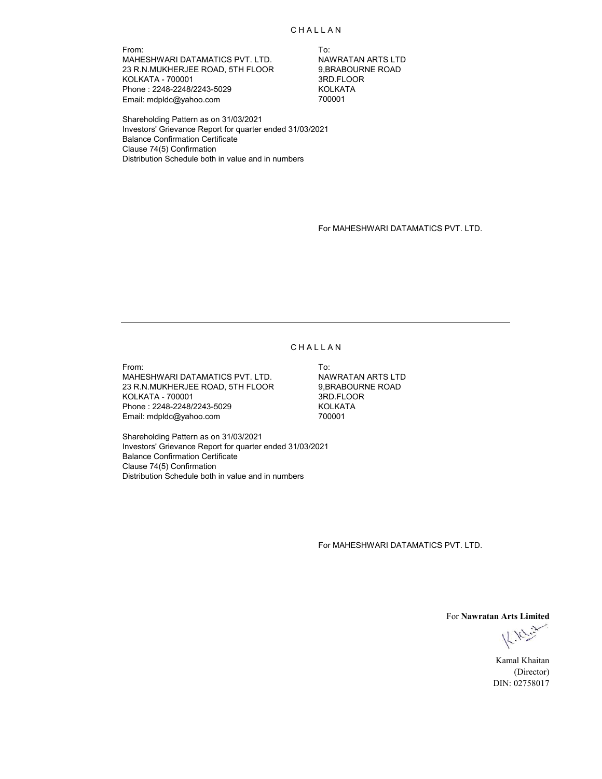From: To: MAHESHWARI DATAMATICS PVT. LTD. NAWRATAN ARTS LTD<br>23 R.N.MUKHERJEE ROAD, 5TH FLOOR 9,BRABOURNE ROAD 23 R.N.MUKHERJEE ROAD, 5TH FLOOR 9,BRABOURI<br>KOLKATA - 700001 600001 KOLKATA - 700001 3RD.FLOOR Phone : 2248-2248/2243-5029 KOLKATA KOLKATA KOLKATA KOLKATA KOLKATA KOLKATA KOLKATA KOLKATA KOLKATA KOLKATA KOLKATA KOLKATA KOLKATA KOLKATA KOLKATA KOLKATA KOLKATA KOLKATA KOLKATA KOLKATA KOLKATA KOLKATA KOLKATA KOLKATA KO Email: mdpldc@yahoo.com

Shareholding Pattern as on 31/03/2021 Investors' Grievance Report for quarter ended 31/03/2021 Balance Confirmation Certificate Clause 74(5) Confirmation Distribution Schedule both in value and in numbers

For MAHESHWARI DATAMATICS PVT. LTD.

#### **CHALLAN**

From: To: MAHESHWARI DATAMATICS PVT. LTD. NAWRATAN ARTS LTD 23 R.N.MUKHERJEE ROAD, 5TH FLOOR 9,BRABOURNE ROAD KOLKATA - 700001 3RD.FLOOR Phone : 2248-2248/2243-5029 KOLKATA Email: mdpldc@yahoo.com

Shareholding Pattern as on 31/03/2021 Investors' Grievance Report for quarter ended 31/03/2021 Balance Confirmation Certificate Clause 74(5) Confirmation Distribution Schedule both in value and in numbers

For MAHESHWARI DATAMATICS PVT. LTD.

For **Nawratan Arts Limited**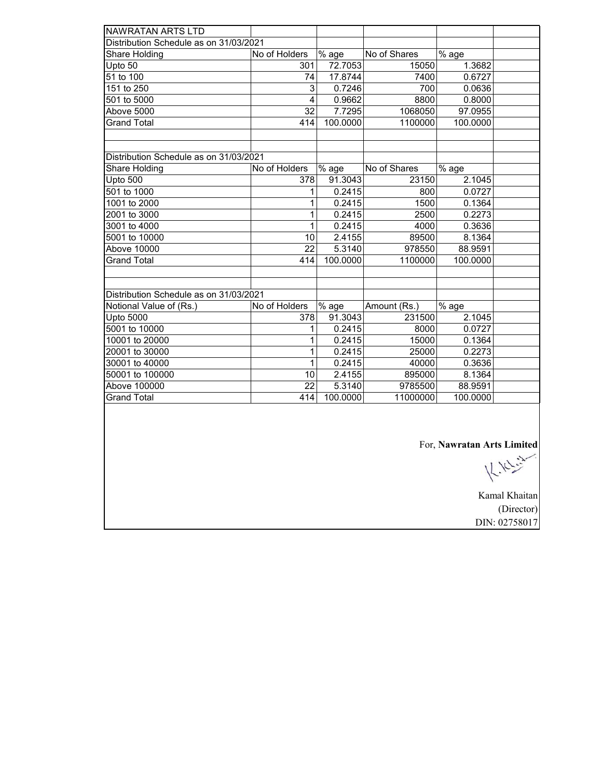| <b>NAWRATAN ARTS LTD</b>               |                 |          |              |          |  |
|----------------------------------------|-----------------|----------|--------------|----------|--|
| Distribution Schedule as on 31/03/2021 |                 |          |              |          |  |
| Share Holding                          | No of Holders   | % age    | No of Shares | $%$ age  |  |
| Upto 50                                | 301             | 72.7053  | 15050        | 1.3682   |  |
| 51 to 100                              | 74              | 17.8744  | 7400         | 0.6727   |  |
| 151 to 250                             | 3               | 0.7246   | 700          | 0.0636   |  |
| 501 to 5000                            | 4               | 0.9662   | 8800         | 0.8000   |  |
| Above 5000                             | 32              | 7.7295   | 1068050      | 97.0955  |  |
| <b>Grand Total</b>                     | 414             | 100.0000 | 1100000      | 100.0000 |  |
|                                        |                 |          |              |          |  |
|                                        |                 |          |              |          |  |
| Distribution Schedule as on 31/03/2021 |                 |          |              |          |  |
| Share Holding                          | No of Holders   | % age    | No of Shares | % age    |  |
| Upto 500                               | 378             | 91.3043  | 23150        | 2.1045   |  |
| $\overline{501}$ to 1000               | 1               | 0.2415   | 800          | 0.0727   |  |
| 1001 to 2000                           | 1               | 0.2415   | 1500         | 0.1364   |  |
| 2001 to 3000                           | 1               | 0.2415   | 2500         | 0.2273   |  |
| 3001 to 4000                           | 1               | 0.2415   | 4000         | 0.3636   |  |
| 5001 to 10000                          | 10              | 2.4155   | 89500        | 8.1364   |  |
| <b>Above 10000</b>                     | $\overline{22}$ | 5.3140   | 978550       | 88.9591  |  |
| <b>Grand Total</b>                     | 414             | 100.0000 | 1100000      | 100.0000 |  |
|                                        |                 |          |              |          |  |
|                                        |                 |          |              |          |  |
| Distribution Schedule as on 31/03/2021 |                 |          |              |          |  |
| Notional Value of (Rs.)                | No of Holders   | % age    | Amount (Rs.) | % age    |  |
| <b>Upto 5000</b>                       | 378             | 91.3043  | 231500       | 2.1045   |  |
| 5001 to 10000                          | 1               | 0.2415   | 8000         | 0.0727   |  |
| 10001 to 20000                         | 1               | 0.2415   | 15000        | 0.1364   |  |
| 20001 to 30000                         | 1               | 0.2415   | 25000        | 0.2273   |  |
| 30001 to 40000                         | 1               | 0.2415   | 40000        | 0.3636   |  |
| 50001 to 100000                        | 10              | 2.4155   | 895000       | 8.1364   |  |
| Above 100000                           | 22              | 5.3140   | 9785500      | 88.9591  |  |
| <b>Grand Total</b>                     | 414             | 100.0000 | 11000000     | 100.0000 |  |
|                                        |                 |          |              |          |  |

For, **Nawratan Arts Limited**